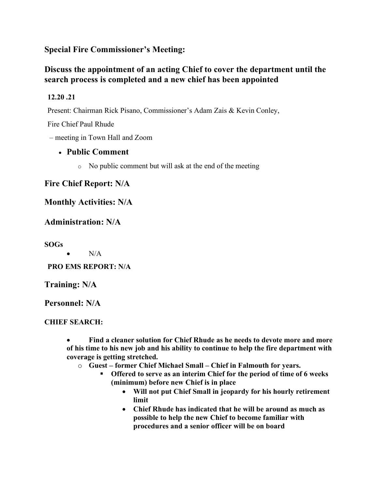### **Special Fire Commissioner's Meeting:**

# **Discuss the appointment of an acting Chief to cover the department until the search process is completed and a new chief has been appointed**

### **12.20 .21**

Present: Chairman Rick Pisano, Commissioner's Adam Zais & Kevin Conley,

Fire Chief Paul Rhude

– meeting in Town Hall and Zoom

## • **Public Comment**

o No public comment but will ask at the end of the meeting

## **Fire Chief Report: N/A**

### **Monthly Activities: N/A**

## **Administration: N/A**

**SOGs**

 $\bullet$  N/A

**PRO EMS REPORT: N/A**

**Training: N/A**

**Personnel: N/A**

#### **CHIEF SEARCH:**

• **Find a cleaner solution for Chief Rhude as he needs to devote more and more of his time to his new job and his ability to continue to help the fire department with coverage is getting stretched.**

- o **Guest – former Chief Michael Small – Chief in Falmouth for years.**
	- § **Offered to serve as an interim Chief for the period of time of 6 weeks (minimum) before new Chief is in place**
		- **Will not put Chief Small in jeopardy for his hourly retirement limit**
		- **Chief Rhude has indicated that he will be around as much as possible to help the new Chief to become familiar with procedures and a senior officer will be on board**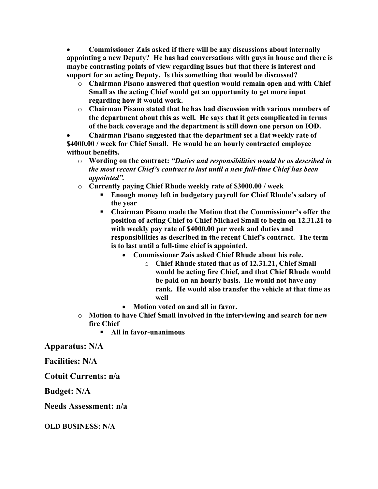• **Commissioner Zais asked if there will be any discussions about internally appointing a new Deputy? He has had conversations with guys in house and there is maybe contrasting points of view regarding issues but that there is interest and support for an acting Deputy. Is this something that would be discussed?**

- o **Chairman Pisano answered that question would remain open and with Chief Small as the acting Chief would get an opportunity to get more input regarding how it would work.**
- o **Chairman Pisano stated that he has had discussion with various members of the department about this as well. He says that it gets complicated in terms of the back coverage and the department is still down one person on IOD.**

• **Chairman Pisano suggested that the department set a flat weekly rate of \$4000.00 / week for Chief Small. He would be an hourly contracted employee without benefits.**

- o **Wording on the contract:** *"Duties and responsibilities would be as described in the most recent Chief's contract to last until a new full-time Chief has been appointed".*
- o **Currently paying Chief Rhude weekly rate of \$3000.00 / week**
	- § **Enough money left in budgetary payroll for Chief Rhude's salary of the year**
	- § **Chairman Pisano made the Motion that the Commissioner's offer the position of acting Chief to Chief Michael Small to begin on 12.31.21 to with weekly pay rate of \$4000.00 per week and duties and responsibilities as described in the recent Chief's contract. The term is to last until a full-time chief is appointed.**
		- **Commissioner Zais asked Chief Rhude about his role.**
			- o **Chief Rhude stated that as of 12.31.21, Chief Small would be acting fire Chief, and that Chief Rhude would be paid on an hourly basis. He would not have any rank. He would also transfer the vehicle at that time as well**
		- **Motion voted on and all in favor.**
- o **Motion to have Chief Small involved in the interviewing and search for new fire Chief**
	- § **All in favor-unanimous**

**Apparatus: N/A**

**Facilities: N/A**

**Cotuit Currents: n/a**

**Budget: N/A**

**Needs Assessment: n/a**

**OLD BUSINESS: N/A**